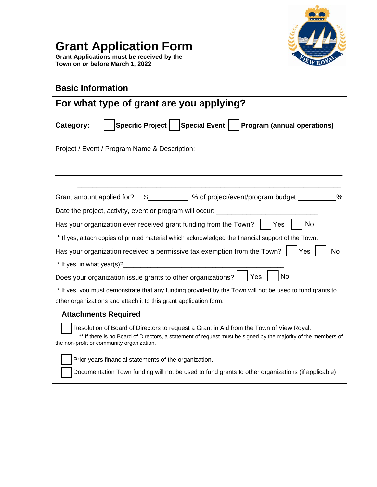

# **Grant Application Form**

**Grant Applications must be received by the Town on or before March 1, 2022**

## **Basic Information**

| For what type of grant are you applying?                                                                                                                                                                                                              |  |  |  |
|-------------------------------------------------------------------------------------------------------------------------------------------------------------------------------------------------------------------------------------------------------|--|--|--|
| Specific Project   Special Event   Program (annual operations)<br>Category:                                                                                                                                                                           |  |  |  |
| Project / Event / Program Name & Description: __________________________________                                                                                                                                                                      |  |  |  |
|                                                                                                                                                                                                                                                       |  |  |  |
|                                                                                                                                                                                                                                                       |  |  |  |
| Grant amount applied for? \$____________ % of project/event/program budget __________%                                                                                                                                                                |  |  |  |
| Date the project, activity, event or program will occur: ________________________                                                                                                                                                                     |  |  |  |
| Has your organization ever received grant funding from the Town?<br>$ $ $ $ Yes<br>No                                                                                                                                                                 |  |  |  |
| * If yes, attach copies of printed material which acknowledged the financial support of the Town.                                                                                                                                                     |  |  |  |
| Has your organization received a permissive tax exemption from the Town?<br>Yes<br>No                                                                                                                                                                 |  |  |  |
| $*$ If yes, in what year(s)?                                                                                                                                                                                                                          |  |  |  |
| <b>No</b><br>Does your organization issue grants to other organizations? $\vert \ \vert$ Yes                                                                                                                                                          |  |  |  |
| * If yes, you must demonstrate that any funding provided by the Town will not be used to fund grants to                                                                                                                                               |  |  |  |
| other organizations and attach it to this grant application form.                                                                                                                                                                                     |  |  |  |
| <b>Attachments Required</b>                                                                                                                                                                                                                           |  |  |  |
| Resolution of Board of Directors to request a Grant in Aid from the Town of View Royal.<br>** If there is no Board of Directors, a statement of request must be signed by the majority of the members of<br>the non-profit or community organization. |  |  |  |
| Prior years financial statements of the organization.                                                                                                                                                                                                 |  |  |  |
| Documentation Town funding will not be used to fund grants to other organizations (if applicable)                                                                                                                                                     |  |  |  |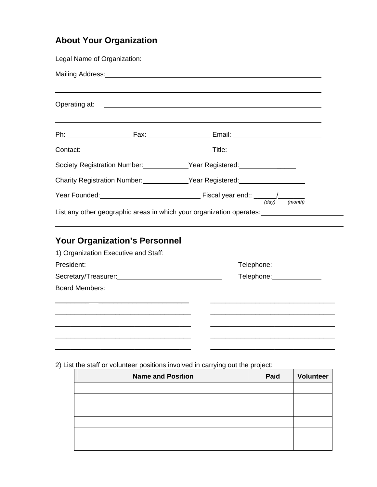# **About Your Organization**

|                                                             | Contact: Title: Title: Title: Title: Title: Title: Title: Title: Title: Title: Title: Title: Title: Title: Title: Title: Title: Title: Title: Title: Title: Title: Title: Title: Title: Title: Title: Title: Title: Title: Tit |  |  |  |  |
|-------------------------------------------------------------|--------------------------------------------------------------------------------------------------------------------------------------------------------------------------------------------------------------------------------|--|--|--|--|
|                                                             | Society Registration Number: Vear Registered: Vermann Content of Society Registered:                                                                                                                                           |  |  |  |  |
|                                                             | Charity Registration Number: Vear Registered: Vear Registered:                                                                                                                                                                 |  |  |  |  |
|                                                             |                                                                                                                                                                                                                                |  |  |  |  |
|                                                             | List any other geographic areas in which your organization operates: [100] [100] [100] [100] [100] [100] [100]                                                                                                                 |  |  |  |  |
| <b>Your Organization's Personnel</b>                        |                                                                                                                                                                                                                                |  |  |  |  |
| 1) Organization Executive and Staff:                        |                                                                                                                                                                                                                                |  |  |  |  |
|                                                             | Telephone: _____________                                                                                                                                                                                                       |  |  |  |  |
| Secretary/Treasurer: Manual Content of Secretary/Treasurer: | Telephone: _______________                                                                                                                                                                                                     |  |  |  |  |
| <b>Board Members:</b>                                       |                                                                                                                                                                                                                                |  |  |  |  |
|                                                             |                                                                                                                                                                                                                                |  |  |  |  |
|                                                             |                                                                                                                                                                                                                                |  |  |  |  |
|                                                             |                                                                                                                                                                                                                                |  |  |  |  |
|                                                             |                                                                                                                                                                                                                                |  |  |  |  |
|                                                             |                                                                                                                                                                                                                                |  |  |  |  |

2) List the staff or volunteer positions involved in carrying out the project:

| <b>Name and Position</b> | Paid | <b>Volunteer</b> |
|--------------------------|------|------------------|
|                          |      |                  |
|                          |      |                  |
|                          |      |                  |
|                          |      |                  |
|                          |      |                  |
|                          |      |                  |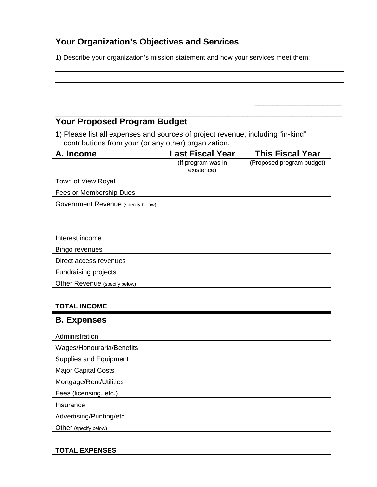## **Your Organization's Objectives and Services**

1) Describe your organization's mission statement and how your services meet them:

 $\mathcal{L}_\text{max}$  , and the contract of the contract of the contract of the contract of the contract of the contract of the contract of the contract of the contract of the contract of the contract of the contract of the contr \_\_\_\_\_\_\_\_\_\_\_\_\_\_\_\_\_\_\_\_\_\_\_\_\_\_\_\_\_\_\_\_\_\_\_\_\_\_\_\_\_\_\_\_\_\_\_\_\_\_\_\_\_\_\_\_\_\_\_\_\_\_\_\_\_\_\_\_\_\_\_\_\_\_\_\_

### **Your Proposed Program Budget**

 $\overline{a}$ 

**1**) Please list all expenses and sources of project revenue, including "in-kind" contributions from your (or any other) organization.

| A. Income                          | <b>Last Fiscal Year</b>          | <b>This Fiscal Year</b>   |
|------------------------------------|----------------------------------|---------------------------|
|                                    | (If program was in<br>existence) | (Proposed program budget) |
| Town of View Royal                 |                                  |                           |
| Fees or Membership Dues            |                                  |                           |
| Government Revenue (specify below) |                                  |                           |
|                                    |                                  |                           |
|                                    |                                  |                           |
| Interest income                    |                                  |                           |
| <b>Bingo revenues</b>              |                                  |                           |
| Direct access revenues             |                                  |                           |
| <b>Fundraising projects</b>        |                                  |                           |
| Other Revenue (specify below)      |                                  |                           |
|                                    |                                  |                           |
| <b>TOTAL INCOME</b>                |                                  |                           |
| <b>B.</b> Expenses                 |                                  |                           |
| Administration                     |                                  |                           |
| Wages/Honouraria/Benefits          |                                  |                           |
| Supplies and Equipment             |                                  |                           |
| <b>Major Capital Costs</b>         |                                  |                           |
| Mortgage/Rent/Utilities            |                                  |                           |
| Fees (licensing, etc.)             |                                  |                           |
| Insurance                          |                                  |                           |
| Advertising/Printing/etc.          |                                  |                           |
| Other (specify below)              |                                  |                           |
|                                    |                                  |                           |
| <b>TOTAL EXPENSES</b>              |                                  |                           |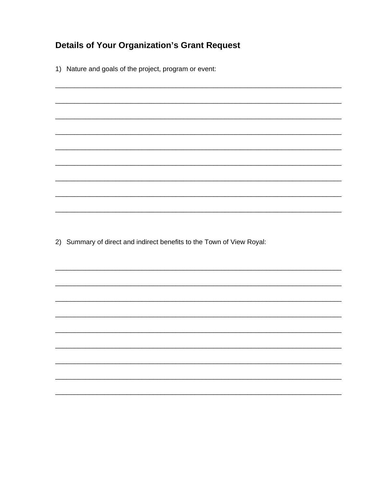## **Details of Your Organization's Grant Request**

1) Nature and goals of the project, program or event:

2) Summary of direct and indirect benefits to the Town of View Royal: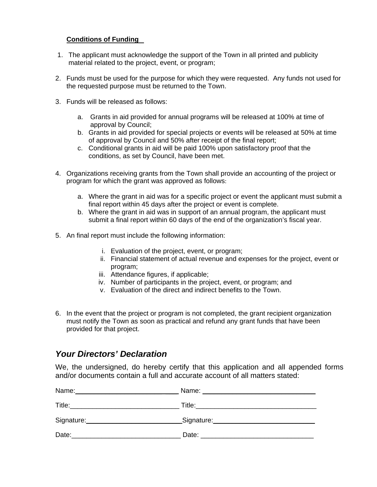#### **Conditions of Funding**

- 1. The applicant must acknowledge the support of the Town in all printed and publicity material related to the project, event, or program;
- 2. Funds must be used for the purpose for which they were requested. Any funds not used for the requested purpose must be returned to the Town.
- 3. Funds will be released as follows:
	- a. Grants in aid provided for annual programs will be released at 100% at time of approval by Council;
	- b. Grants in aid provided for special projects or events will be released at 50% at time of approval by Council and 50% after receipt of the final report;
	- c. Conditional grants in aid will be paid 100% upon satisfactory proof that the conditions, as set by Council, have been met.
- 4. Organizations receiving grants from the Town shall provide an accounting of the project or program for which the grant was approved as follows:
	- a. Where the grant in aid was for a specific project or event the applicant must submit a final report within 45 days after the project or event is complete.
	- b. Where the grant in aid was in support of an annual program, the applicant must submit a final report within 60 days of the end of the organization's fiscal year.
- 5. An final report must include the following information:
	- i. Evaluation of the project, event, or program;
	- ii. Financial statement of actual revenue and expenses for the project, event or program;
	- iii. Attendance figures, if applicable;
	- iv. Number of participants in the project, event, or program; and
	- v. Evaluation of the direct and indirect benefits to the Town.
- 6. In the event that the project or program is not completed, the grant recipient organization must notify the Town as soon as practical and refund any grant funds that have been provided for that project.

#### *Your Directors' Declaration*

We, the undersigned, do hereby certify that this application and all appended forms and/or documents contain a full and accurate account of all matters stated:

| Name:      | Name:       |
|------------|-------------|
| Title:     | Title:      |
| Signature: | _Signature: |
| Date:      | Date:       |